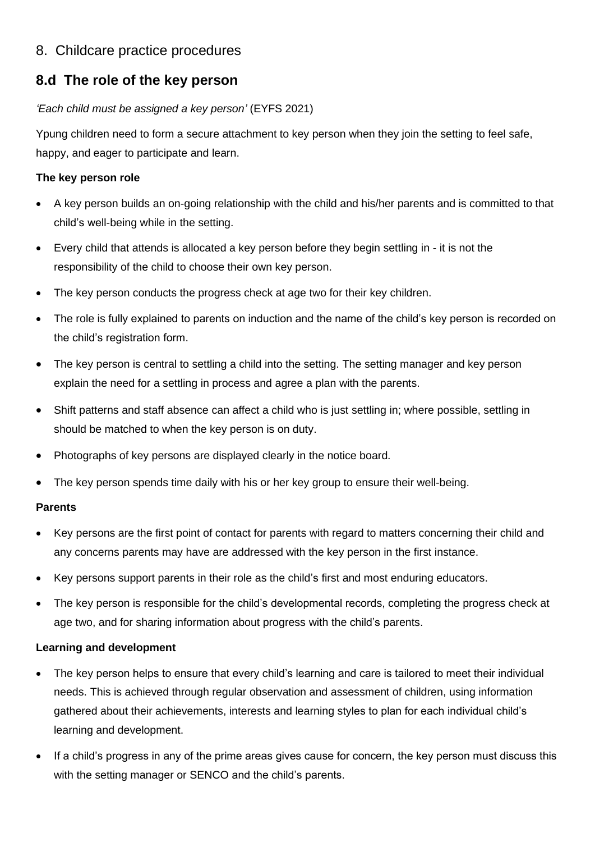## 8. Childcare practice procedures

# **8.d The role of the key person**

#### *'Each child must be assigned a key person'* (EYFS 2021)

Ypung children need to form a secure attachment to key person when they join the setting to feel safe, happy, and eager to participate and learn.

#### **The key person role**

- A key person builds an on-going relationship with the child and his/her parents and is committed to that child's well-being while in the setting.
- Every child that attends is allocated a key person before they begin settling in it is not the responsibility of the child to choose their own key person.
- The key person conducts the progress check at age two for their key children.
- The role is fully explained to parents on induction and the name of the child's key person is recorded on the child's registration form.
- The key person is central to settling a child into the setting. The setting manager and key person explain the need for a settling in process and agree a plan with the parents.
- Shift patterns and staff absence can affect a child who is just settling in; where possible, settling in should be matched to when the key person is on duty.
- Photographs of key persons are displayed clearly in the notice board.
- The key person spends time daily with his or her key group to ensure their well-being.

#### **Parents**

- Key persons are the first point of contact for parents with regard to matters concerning their child and any concerns parents may have are addressed with the key person in the first instance.
- Key persons support parents in their role as the child's first and most enduring educators.
- The key person is responsible for the child's developmental records, completing the progress check at age two, and for sharing information about progress with the child's parents.

### **Learning and development**

- The key person helps to ensure that every child's learning and care is tailored to meet their individual needs. This is achieved through regular observation and assessment of children, using information gathered about their achievements, interests and learning styles to plan for each individual child's learning and development.
- If a child's progress in any of the prime areas gives cause for concern, the key person must discuss this with the setting manager or SENCO and the child's parents.